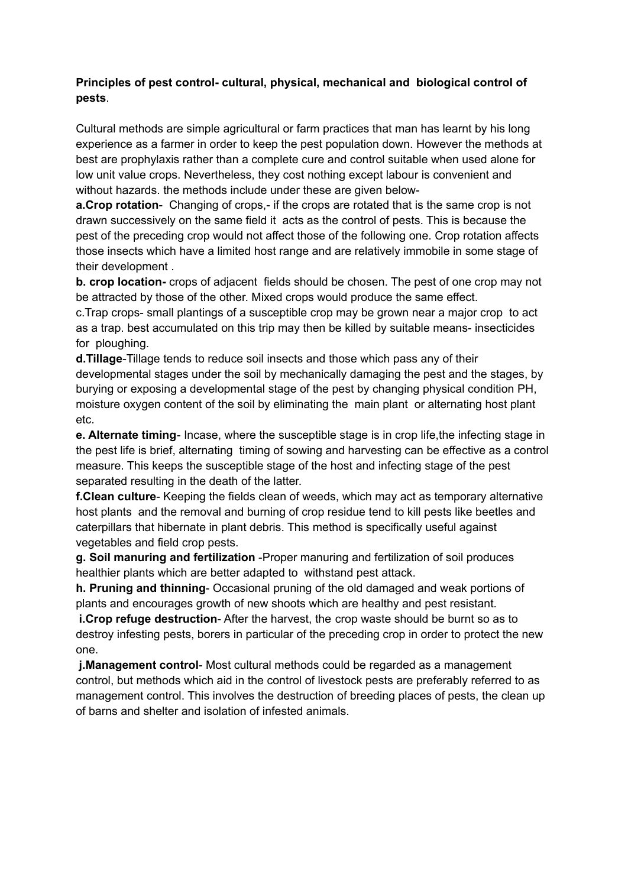## **Principles of pest control- cultural, physical, mechanical and biological control of pests**.

Cultural methods are simple agricultural or farm practices that man has learnt by his long experience as a farmer in order to keep the pest population down. However the methods at best are prophylaxis rather than a complete cure and control suitable when used alone for low unit value crops. Nevertheless, they cost nothing except labour is convenient and without hazards. the methods include under these are given below-

**a.Crop rotation**- Changing of crops,- if the crops are rotated that is the same crop is not drawn successively on the same field it acts as the control of pests. This is because the pest of the preceding crop would not affect those of the following one. Crop rotation affects those insects which have a limited host range and are relatively immobile in some stage of their development .

**b. crop location-** crops of adjacent fields should be chosen. The pest of one crop may not be attracted by those of the other. Mixed crops would produce the same effect.

c.Trap crops- small plantings of a susceptible crop may be grown near a major crop to act as a trap. best accumulated on this trip may then be killed by suitable means- insecticides for ploughing.

**d.Tillage**-Tillage tends to reduce soil insects and those which pass any of their developmental stages under the soil by mechanically damaging the pest and the stages, by burying or exposing a developmental stage of the pest by changing physical condition PH, moisture oxygen content of the soil by eliminating the main plant or alternating host plant etc.

**e. Alternate timing**- Incase, where the susceptible stage is in crop life,the infecting stage in the pest life is brief, alternating timing of sowing and harvesting can be effective as a control measure. This keeps the susceptible stage of the host and infecting stage of the pest separated resulting in the death of the latter.

**f.Clean culture**- Keeping the fields clean of weeds, which may act as temporary alternative host plants and the removal and burning of crop residue tend to kill pests like beetles and caterpillars that hibernate in plant debris. This method is specifically useful against vegetables and field crop pests.

**g. Soil manuring and fertilization** -Proper manuring and fertilization of soil produces healthier plants which are better adapted to withstand pest attack.

**h. Pruning and thinning**- Occasional pruning of the old damaged and weak portions of plants and encourages growth of new shoots which are healthy and pest resistant.

**i.Crop refuge destruction**- After the harvest, the crop waste should be burnt so as to destroy infesting pests, borers in particular of the preceding crop in order to protect the new one.

**j.Management control**- Most cultural methods could be regarded as a management control, but methods which aid in the control of livestock pests are preferably referred to as management control. This involves the destruction of breeding places of pests, the clean up of barns and shelter and isolation of infested animals.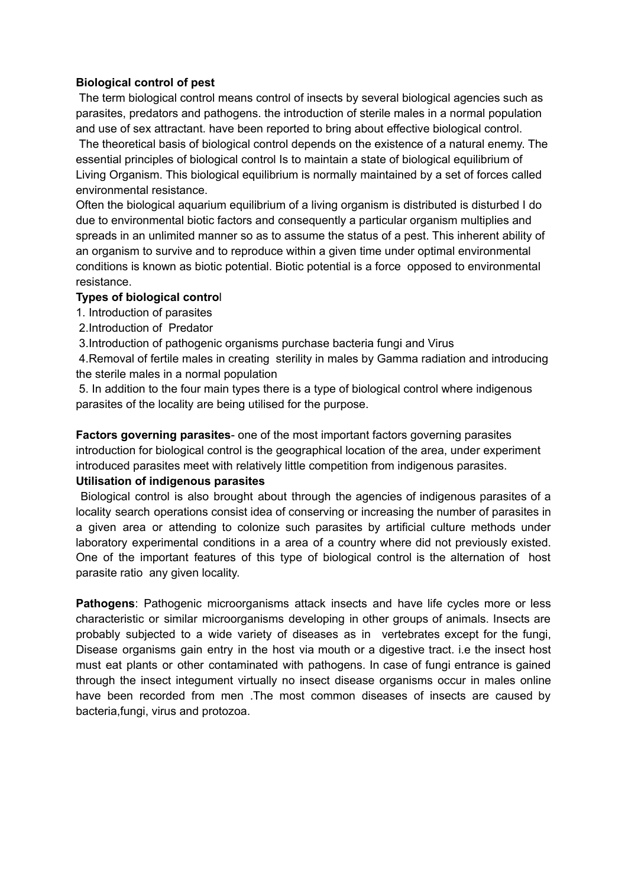### **Biological control of pest**

The term biological control means control of insects by several biological agencies such as parasites, predators and pathogens. the introduction of sterile males in a normal population and use of sex attractant. have been reported to bring about effective biological control.

The theoretical basis of biological control depends on the existence of a natural enemy. The essential principles of biological control Is to maintain a state of biological equilibrium of Living Organism. This biological equilibrium is normally maintained by a set of forces called environmental resistance.

Often the biological aquarium equilibrium of a living organism is distributed is disturbed I do due to environmental biotic factors and consequently a particular organism multiplies and spreads in an unlimited manner so as to assume the status of a pest. This inherent ability of an organism to survive and to reproduce within a given time under optimal environmental conditions is known as biotic potential. Biotic potential is a force opposed to environmental resistance.

### **Types of biological contro**l

- 1. Introduction of parasites
- 2.Introduction of Predator
- 3.Introduction of pathogenic organisms purchase bacteria fungi and Virus

4.Removal of fertile males in creating sterility in males by Gamma radiation and introducing the sterile males in a normal population

5. In addition to the four main types there is a type of biological control where indigenous parasites of the locality are being utilised for the purpose.

**Factors governing parasites**- one of the most important factors governing parasites introduction for biological control is the geographical location of the area, under experiment introduced parasites meet with relatively little competition from indigenous parasites.

### **Utilisation of indigenous parasites**

Biological control is also brought about through the agencies of indigenous parasites of a locality search operations consist idea of conserving or increasing the number of parasites in a given area or attending to colonize such parasites by artificial culture methods under laboratory experimental conditions in a area of a country where did not previously existed. One of the important features of this type of biological control is the alternation of host parasite ratio any given locality.

**Pathogens**: Pathogenic microorganisms attack insects and have life cycles more or less characteristic or similar microorganisms developing in other groups of animals. Insects are probably subjected to a wide variety of diseases as in vertebrates except for the fungi, Disease organisms gain entry in the host via mouth or a digestive tract. i.e the insect host must eat plants or other contaminated with pathogens. In case of fungi entrance is gained through the insect integument virtually no insect disease organisms occur in males online have been recorded from men .The most common diseases of insects are caused by bacteria,fungi, virus and protozoa.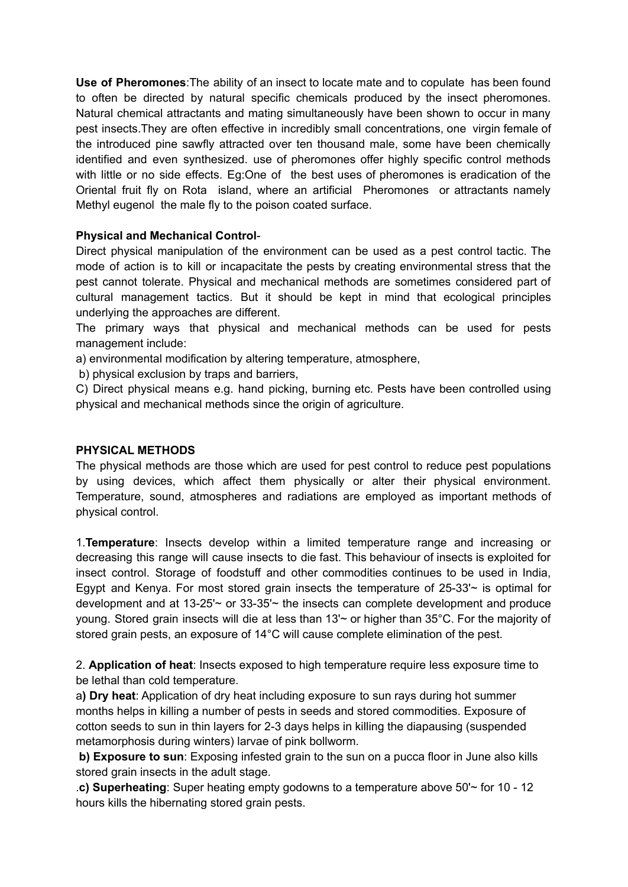**Use of Pheromones**:The ability of an insect to locate mate and to copulate has been found to often be directed by natural specific chemicals produced by the insect pheromones. Natural chemical attractants and mating simultaneously have been shown to occur in many pest insects.They are often effective in incredibly small concentrations, one virgin female of the introduced pine sawfly attracted over ten thousand male, some have been chemically identified and even synthesized. use of pheromones offer highly specific control methods with little or no side effects. Eg:One of the best uses of pheromones is eradication of the Oriental fruit fly on Rota island, where an artificial Pheromones or attractants namely Methyl eugenol the male fly to the poison coated surface.

### **Physical and Mechanical Control**-

Direct physical manipulation of the environment can be used as a pest control tactic. The mode of action is to kill or incapacitate the pests by creating environmental stress that the pest cannot tolerate. Physical and mechanical methods are sometimes considered part of cultural management tactics. But it should be kept in mind that ecological principles underlying the approaches are different.

The primary ways that physical and mechanical methods can be used for pests management include:

a) environmental modification by altering temperature, atmosphere,

b) physical exclusion by traps and barriers,

C) Direct physical means e.g. hand picking, burning etc. Pests have been controlled using physical and mechanical methods since the origin of agriculture.

#### **PHYSICAL METHODS**

The physical methods are those which are used for pest control to reduce pest populations by using devices, which affect them physically or alter their physical environment. Temperature, sound, atmospheres and radiations are employed as important methods of physical control.

1.**Temperature**: Insects develop within a limited temperature range and increasing or decreasing this range will cause insects to die fast. This behaviour of insects is exploited for insect control. Storage of foodstuff and other commodities continues to be used in India, Egypt and Kenya. For most stored grain insects the temperature of 25-33'~ is optimal for development and at 13-25'~ or 33-35'~ the insects can complete development and produce young. Stored grain insects will die at less than 13'~ or higher than 35°C. For the majority of stored grain pests, an exposure of 14°C will cause complete elimination of the pest.

2. **Application of heat**: Insects exposed to high temperature require less exposure time to be lethal than cold temperature.

a**) Dry heat**: Application of dry heat including exposure to sun rays during hot summer months helps in killing a number of pests in seeds and stored commodities. Exposure of cotton seeds to sun in thin layers for 2-3 days helps in killing the diapausing (suspended metamorphosis during winters) larvae of pink bollworm.

**b) Exposure to sun**: Exposing infested grain to the sun on a pucca floor in June also kills stored grain insects in the adult stage.

.**c) Superheating**: Super heating empty godowns to a temperature above 50'~ for 10 - 12 hours kills the hibernating stored grain pests.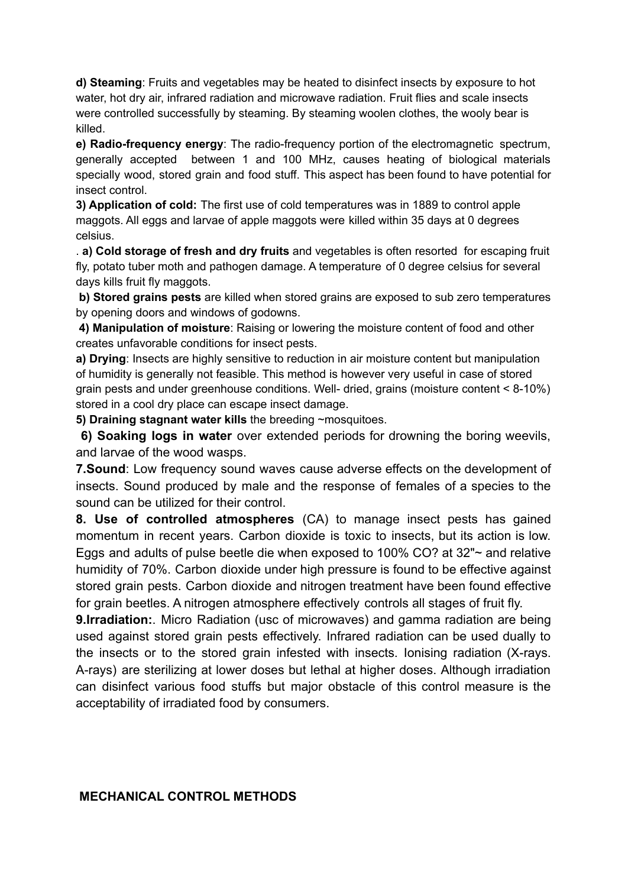**d) Steaming**: Fruits and vegetables may be heated to disinfect insects by exposure to hot water, hot dry air, infrared radiation and microwave radiation. Fruit flies and scale insects were controlled successfully by steaming. By steaming woolen clothes, the wooly bear is killed.

**e) Radio-frequency energy**: The radio-frequency portion of the electromagnetic spectrum, generally accepted between 1 and 100 MHz, causes heating of biological materials specially wood, stored grain and food stuff. This aspect has been found to have potential for insect control.

**3) Application of cold:** The first use of cold temperatures was in 1889 to control apple maggots. All eggs and larvae of apple maggots were killed within 35 days at 0 degrees celsius.

. **a) Cold storage of fresh and dry fruits** and vegetables is often resorted for escaping fruit fly, potato tuber moth and pathogen damage. A temperature of 0 degree celsius for several days kills fruit fly maggots.

**b) Stored grains pests** are killed when stored grains are exposed to sub zero temperatures by opening doors and windows of godowns.

**4) Manipulation of moisture**: Raising or lowering the moisture content of food and other creates unfavorable conditions for insect pests.

**a) Drying**: Insects are highly sensitive to reduction in air moisture content but manipulation of humidity is generally not feasible. This method is however very useful in case of stored grain pests and under greenhouse conditions. Well- dried, grains (moisture content < 8-10%) stored in a cool dry place can escape insect damage.

**5) Draining stagnant water kills** the breeding ~mosquitoes.

**6) Soaking logs in water** over extended periods for drowning the boring weevils, and larvae of the wood wasps.

**7.Sound**: Low frequency sound waves cause adverse effects on the development of insects. Sound produced by male and the response of females of a species to the sound can be utilized for their control.

**8. Use of controlled atmospheres** (CA) to manage insect pests has gained momentum in recent years. Carbon dioxide is toxic to insects, but its action is low. Eggs and adults of pulse beetle die when exposed to 100% CO? at 32"~ and relative humidity of 70%. Carbon dioxide under high pressure is found to be effective against stored grain pests. Carbon dioxide and nitrogen treatment have been found effective for grain beetles. A nitrogen atmosphere effectively controls all stages of fruit fly.

**9.Irradiation:**. Micro Radiation (usc of microwaves) and gamma radiation are being used against stored grain pests effectively. Infrared radiation can be used dually to the insects or to the stored grain infested with insects. Ionising radiation (X-rays. A-rays) are sterilizing at lower doses but lethal at higher doses. Although irradiation can disinfect various food stuffs but major obstacle of this control measure is the acceptability of irradiated food by consumers.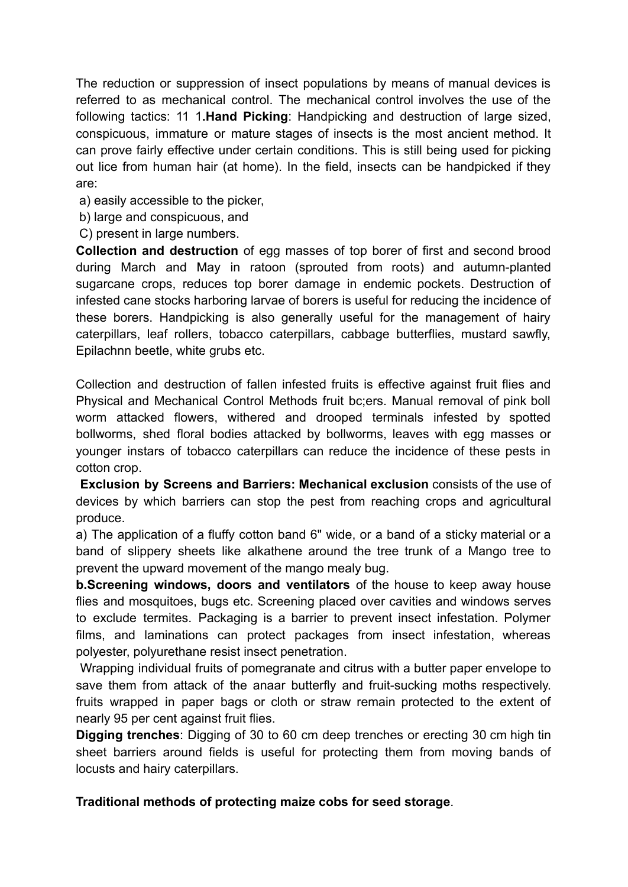The reduction or suppression of insect populations by means of manual devices is referred to as mechanical control. The mechanical control involves the use of the following tactics: 11 1**.Hand Picking**: Handpicking and destruction of large sized, conspicuous, immature or mature stages of insects is the most ancient method. It can prove fairly effective under certain conditions. This is still being used for picking out lice from human hair (at home). In the field, insects can be handpicked if they are:

- a) easily accessible to the picker,
- b) large and conspicuous, and
- C) present in large numbers.

**Collection and destruction** of egg masses of top borer of first and second brood during March and May in ratoon (sprouted from roots) and autumn-planted sugarcane crops, reduces top borer damage in endemic pockets. Destruction of infested cane stocks harboring larvae of borers is useful for reducing the incidence of these borers. Handpicking is also generally useful for the management of hairy caterpillars, leaf rollers, tobacco caterpillars, cabbage butterflies, mustard sawfly, Epilachnn beetle, white grubs etc.

Collection and destruction of fallen infested fruits is effective against fruit flies and Physical and Mechanical Control Methods fruit bc;ers. Manual removal of pink boll worm attacked flowers, withered and drooped terminals infested by spotted bollworms, shed floral bodies attacked by bollworms, leaves with egg masses or younger instars of tobacco caterpillars can reduce the incidence of these pests in cotton crop.

**Exclusion by Screens and Barriers: Mechanical exclusion** consists of the use of devices by which barriers can stop the pest from reaching crops and agricultural produce.

a) The application of a fluffy cotton band 6" wide, or a band of a sticky material or a band of slippery sheets like alkathene around the tree trunk of a Mango tree to prevent the upward movement of the mango mealy bug.

**b.Screening windows, doors and ventilators** of the house to keep away house flies and mosquitoes, bugs etc. Screening placed over cavities and windows serves to exclude termites. Packaging is a barrier to prevent insect infestation. Polymer films, and laminations can protect packages from insect infestation, whereas polyester, polyurethane resist insect penetration.

Wrapping individual fruits of pomegranate and citrus with a butter paper envelope to save them from attack of the anaar butterfly and fruit-sucking moths respectively. fruits wrapped in paper bags or cloth or straw remain protected to the extent of nearly 95 per cent against fruit flies.

**Digging trenches:** Digging of 30 to 60 cm deep trenches or erecting 30 cm high tin sheet barriers around fields is useful for protecting them from moving bands of locusts and hairy caterpillars.

# **Traditional methods of protecting maize cobs for seed storage**.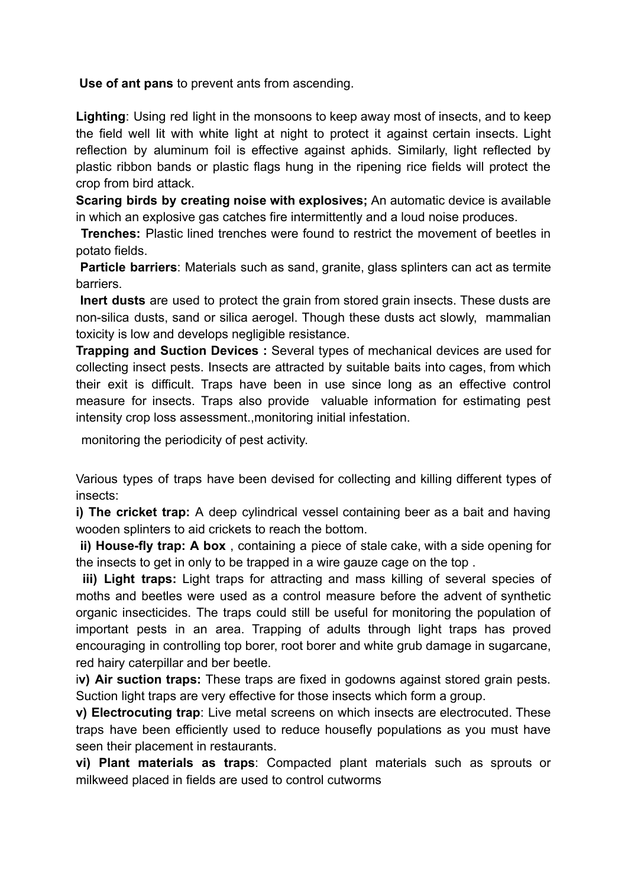**Use of ant pans** to prevent ants from ascending.

**Lighting**: Using red light in the monsoons to keep away most of insects, and to keep the field well lit with white light at night to protect it against certain insects. Light reflection by aluminum foil is effective against aphids. Similarly, light reflected by plastic ribbon bands or plastic flags hung in the ripening rice fields will protect the crop from bird attack.

**Scaring birds by creating noise with explosives;** An automatic device is available in which an explosive gas catches fire intermittently and a loud noise produces.

**Trenches:** Plastic lined trenches were found to restrict the movement of beetles in potato fields.

**Particle barriers**: Materials such as sand, granite, glass splinters can act as termite barriers.

**Inert dusts** are used to protect the grain from stored grain insects. These dusts are non-silica dusts, sand or silica aerogel. Though these dusts act slowly, mammalian toxicity is low and develops negligible resistance.

**Trapping and Suction Devices :** Several types of mechanical devices are used for collecting insect pests. Insects are attracted by suitable baits into cages, from which their exit is difficult. Traps have been in use since long as an effective control measure for insects. Traps also provide valuable information for estimating pest intensity crop loss assessment.,monitoring initial infestation.

monitoring the periodicity of pest activity.

Various types of traps have been devised for collecting and killing different types of insects:

**i) The cricket trap:** A deep cylindrical vessel containing beer as a bait and having wooden splinters to aid crickets to reach the bottom.

**ii) House-fly trap: A box** , containing a piece of stale cake, with a side opening for the insects to get in only to be trapped in a wire gauze cage on the top .

**iii) Light traps:** Light traps for attracting and mass killing of several species of moths and beetles were used as a control measure before the advent of synthetic organic insecticides. The traps could still be useful for monitoring the population of important pests in an area. Trapping of adults through light traps has proved encouraging in controlling top borer, root borer and white grub damage in sugarcane, red hairy caterpillar and ber beetle.

i**v) Air suction traps:** These traps are fixed in godowns against stored grain pests. Suction light traps are very effective for those insects which form a group.

**v) Electrocuting trap**: Live metal screens on which insects are electrocuted. These traps have been efficiently used to reduce housefly populations as you must have seen their placement in restaurants.

**vi) Plant materials as traps**: Compacted plant materials such as sprouts or milkweed placed in fields are used to control cutworms